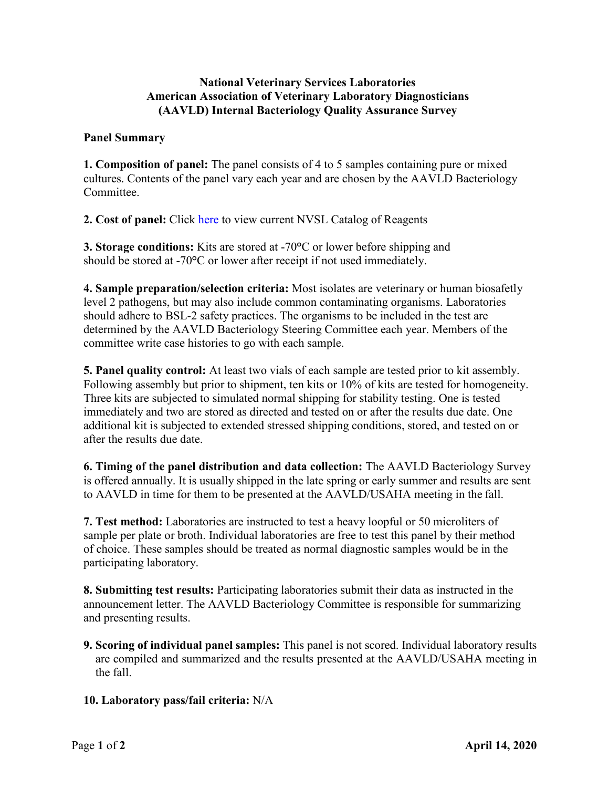## **National Veterinary Services Laboratories American Association of Veterinary Laboratory Diagnosticians (AAVLD) Internal Bacteriology Quality Assurance Survey**

#### **Panel Summary**

**1. Composition of panel:** The panel consists of 4 to 5 samples containing pure or mixed cultures. Contents of the panel vary each year and are chosen by the AAVLD Bacteriology Committee.

**2. Cost of panel:** Click [here](http://www.aphis.usda.gov/animal_health/lab_info_services/downloads/AmesReagentManualCurrent.pdf) to view current NVSL Catalog of Reagents

**3. Storage conditions:** Kits are stored at -70**°**C or lower before shipping and should be stored at -70**°**C or lower after receipt if not used immediately.

**4. Sample preparation/selection criteria:** Most isolates are veterinary or human biosafetly level 2 pathogens, but may also include common contaminating organisms. Laboratories should adhere to BSL-2 safety practices. The organisms to be included in the test are determined by the AAVLD Bacteriology Steering Committee each year. Members of the committee write case histories to go with each sample.

**5. Panel quality control:** At least two vials of each sample are tested prior to kit assembly. Following assembly but prior to shipment, ten kits or 10% of kits are tested for homogeneity. Three kits are subjected to simulated normal shipping for stability testing. One is tested immediately and two are stored as directed and tested on or after the results due date. One additional kit is subjected to extended stressed shipping conditions, stored, and tested on or after the results due date.

**6. Timing of the panel distribution and data collection:** The AAVLD Bacteriology Survey is offered annually. It is usually shipped in the late spring or early summer and results are sent to AAVLD in time for them to be presented at the AAVLD/USAHA meeting in the fall.

**7. Test method:** Laboratories are instructed to test a heavy loopful or 50 microliters of sample per plate or broth. Individual laboratories are free to test this panel by their method of choice. These samples should be treated as normal diagnostic samples would be in the participating laboratory.

**8. Submitting test results:** Participating laboratories submit their data as instructed in the announcement letter. The AAVLD Bacteriology Committee is responsible for summarizing and presenting results.

**9. Scoring of individual panel samples:** This panel is not scored. Individual laboratory results are compiled and summarized and the results presented at the AAVLD/USAHA meeting in the fall.

# **10. Laboratory pass/fail criteria:** N/A